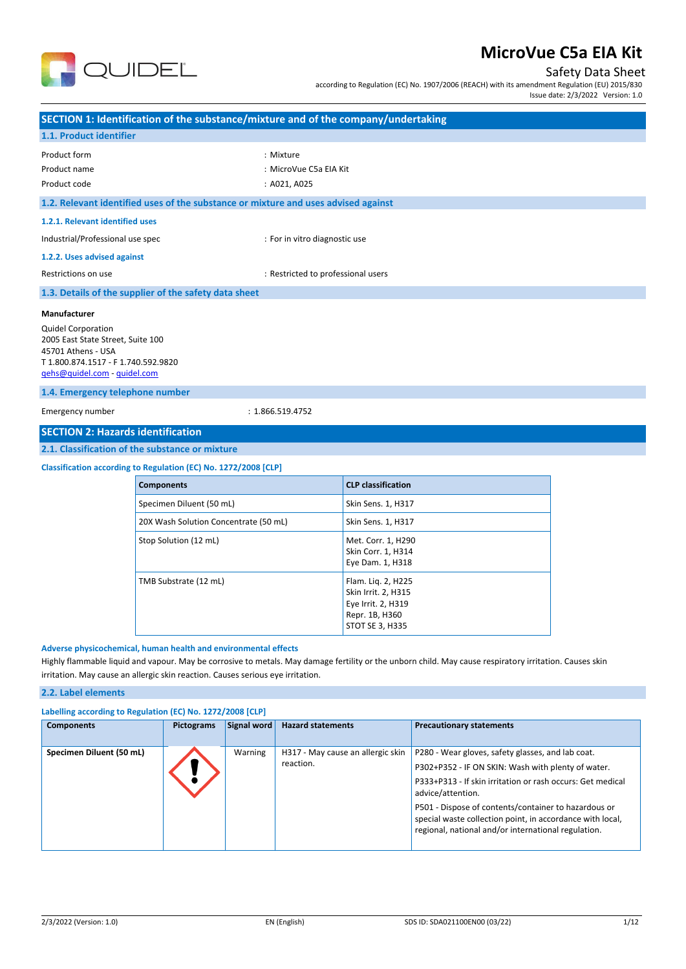

## Safety Data Sheet

according to Regulation (EC) No. 1907/2006 (REACH) with its amendment Regulation (EU) 2015/830

Issue date: 2/3/2022 Version: 1.0

|                                                                                                                                                                                                                                                                                                               | SECTION 1: Identification of the substance/mixture and of the company/undertaking |                                                     |                                                              |  |
|---------------------------------------------------------------------------------------------------------------------------------------------------------------------------------------------------------------------------------------------------------------------------------------------------------------|-----------------------------------------------------------------------------------|-----------------------------------------------------|--------------------------------------------------------------|--|
| 1.1. Product identifier                                                                                                                                                                                                                                                                                       |                                                                                   |                                                     |                                                              |  |
| Product form<br>Product name<br>Product code                                                                                                                                                                                                                                                                  |                                                                                   | : Mixture<br>: MicroVue C5a EIA Kit<br>: A021, A025 |                                                              |  |
| 1.2. Relevant identified uses of the substance or mixture and uses advised against                                                                                                                                                                                                                            |                                                                                   |                                                     |                                                              |  |
| 1.2.1. Relevant identified uses                                                                                                                                                                                                                                                                               |                                                                                   |                                                     |                                                              |  |
| Industrial/Professional use spec                                                                                                                                                                                                                                                                              |                                                                                   | : For in vitro diagnostic use                       |                                                              |  |
| 1.2.2. Uses advised against                                                                                                                                                                                                                                                                                   |                                                                                   |                                                     |                                                              |  |
| Restrictions on use                                                                                                                                                                                                                                                                                           |                                                                                   | : Restricted to professional users                  |                                                              |  |
|                                                                                                                                                                                                                                                                                                               | 1.3. Details of the supplier of the safety data sheet                             |                                                     |                                                              |  |
| Manufacturer<br><b>Quidel Corporation</b><br>2005 East State Street, Suite 100<br>45701 Athens - USA<br>T 1.800.874.1517 - F 1.740.592.9820<br>gehs@quidel.com - guidel.com                                                                                                                                   |                                                                                   |                                                     |                                                              |  |
| 1.4. Emergency telephone number                                                                                                                                                                                                                                                                               |                                                                                   |                                                     |                                                              |  |
| Emergency number                                                                                                                                                                                                                                                                                              | : 1.866.519.4752                                                                  |                                                     |                                                              |  |
| <b>SECTION 2: Hazards identification</b>                                                                                                                                                                                                                                                                      |                                                                                   |                                                     |                                                              |  |
|                                                                                                                                                                                                                                                                                                               | 2.1. Classification of the substance or mixture                                   |                                                     |                                                              |  |
|                                                                                                                                                                                                                                                                                                               | Classification according to Regulation (EC) No. 1272/2008 [CLP]                   |                                                     |                                                              |  |
|                                                                                                                                                                                                                                                                                                               | <b>Components</b>                                                                 |                                                     | <b>CLP classification</b>                                    |  |
|                                                                                                                                                                                                                                                                                                               | Specimen Diluent (50 mL)                                                          |                                                     | Skin Sens. 1, H317                                           |  |
|                                                                                                                                                                                                                                                                                                               | 20X Wash Solution Concentrate (50 mL)                                             |                                                     | Skin Sens. 1, H317                                           |  |
|                                                                                                                                                                                                                                                                                                               | Stop Solution (12 mL)                                                             |                                                     | Met. Corr. 1, H290<br>Skin Corr. 1, H314<br>Eye Dam. 1, H318 |  |
| TMB Substrate (12 mL)<br>Flam. Lig. 2, H225<br>Skin Irrit. 2, H315<br>Eye Irrit. 2, H319<br>Repr. 1B, H360<br>STOT SE 3, H335                                                                                                                                                                                 |                                                                                   |                                                     |                                                              |  |
| Adverse physicochemical, human health and environmental effects<br>Highly flammable liquid and vapour. May be corrosive to metals. May damage fertility or the unborn child. May cause respiratory irritation. Causes skin<br>irritation. May cause an allergic skin reaction. Causes serious eye irritation. |                                                                                   |                                                     |                                                              |  |
| 2.2. Label elements                                                                                                                                                                                                                                                                                           |                                                                                   |                                                     |                                                              |  |
|                                                                                                                                                                                                                                                                                                               | Labelling according to Regulation (EC) No. 1272/2008 [CLP]                        |                                                     |                                                              |  |

| <b>Components</b>        | <b>Pictograms</b> | Signal word | <b>Hazard statements</b>                       | <b>Precautionary statements</b>                                                                                                                                                                                                                                                                                                                                        |
|--------------------------|-------------------|-------------|------------------------------------------------|------------------------------------------------------------------------------------------------------------------------------------------------------------------------------------------------------------------------------------------------------------------------------------------------------------------------------------------------------------------------|
| Specimen Diluent (50 mL) |                   | Warning     | H317 - May cause an allergic skin<br>reaction. | P280 - Wear gloves, safety glasses, and lab coat.<br>P302+P352 - IF ON SKIN: Wash with plenty of water.<br>P333+P313 - If skin irritation or rash occurs: Get medical<br>advice/attention.<br>P501 - Dispose of contents/container to hazardous or<br>special waste collection point, in accordance with local,<br>regional, national and/or international regulation. |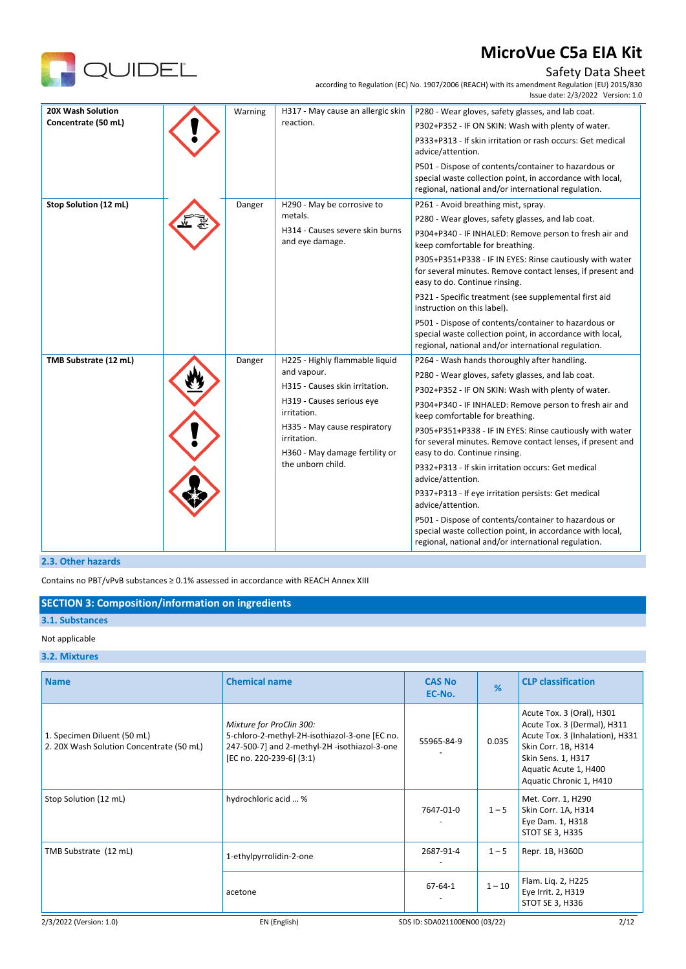

### Safety Data Sheet

according to Regulation (EC) No. 1907/2006 (REACH) with its amendment Regulation (EU) 2015/830

|                       |         |                                                                                                                                          | Issue date: 2/3/2022 Version: 1.0                                                                                                                                        |
|-----------------------|---------|------------------------------------------------------------------------------------------------------------------------------------------|--------------------------------------------------------------------------------------------------------------------------------------------------------------------------|
| 20X Wash Solution     | Warning | H317 - May cause an allergic skin                                                                                                        | P280 - Wear gloves, safety glasses, and lab coat.                                                                                                                        |
| Concentrate (50 mL)   |         | reaction.                                                                                                                                | P302+P352 - IF ON SKIN: Wash with plenty of water.                                                                                                                       |
|                       |         |                                                                                                                                          | P333+P313 - If skin irritation or rash occurs: Get medical<br>advice/attention.                                                                                          |
|                       |         |                                                                                                                                          | P501 - Dispose of contents/container to hazardous or<br>special waste collection point, in accordance with local,<br>regional, national and/or international regulation. |
| Stop Solution (12 mL) | Danger  | H290 - May be corrosive to                                                                                                               | P261 - Avoid breathing mist, spray.                                                                                                                                      |
|                       |         | metals.                                                                                                                                  | P280 - Wear gloves, safety glasses, and lab coat.                                                                                                                        |
|                       |         | H314 - Causes severe skin burns<br>and eye damage.                                                                                       | P304+P340 - IF INHALED: Remove person to fresh air and<br>keep comfortable for breathing.                                                                                |
|                       |         |                                                                                                                                          | P305+P351+P338 - IF IN EYES: Rinse cautiously with water<br>for several minutes. Remove contact lenses, if present and<br>easy to do. Continue rinsing.                  |
|                       |         |                                                                                                                                          | P321 - Specific treatment (see supplemental first aid<br>instruction on this label).                                                                                     |
|                       |         |                                                                                                                                          | P501 - Dispose of contents/container to hazardous or<br>special waste collection point, in accordance with local,<br>regional, national and/or international regulation. |
| TMB Substrate (12 mL) | Danger  | H225 - Highly flammable liquid                                                                                                           | P264 - Wash hands thoroughly after handling.                                                                                                                             |
|                       |         | and vapour.<br>H315 - Causes skin irritation.<br>H319 - Causes serious eye<br>irritation.<br>H335 - May cause respiratory<br>irritation. | P280 - Wear gloves, safety glasses, and lab coat.                                                                                                                        |
|                       |         |                                                                                                                                          | P302+P352 - IF ON SKIN: Wash with plenty of water.                                                                                                                       |
|                       |         |                                                                                                                                          | P304+P340 - IF INHALED: Remove person to fresh air and<br>keep comfortable for breathing.                                                                                |
|                       |         |                                                                                                                                          | P305+P351+P338 - IF IN EYES: Rinse cautiously with water<br>for several minutes. Remove contact lenses, if present and                                                   |
|                       |         | H360 - May damage fertility or<br>the unborn child.                                                                                      | easy to do. Continue rinsing.                                                                                                                                            |
|                       |         |                                                                                                                                          | P332+P313 - If skin irritation occurs: Get medical<br>advice/attention.                                                                                                  |
|                       |         |                                                                                                                                          | P337+P313 - If eye irritation persists: Get medical<br>advice/attention.                                                                                                 |
|                       |         |                                                                                                                                          | P501 - Dispose of contents/container to hazardous or<br>special waste collection point, in accordance with local,<br>regional, national and/or international regulation. |

### **2.3. Other hazards**

Contains no PBT/vPvB substances ≥ 0.1% assessed in accordance with REACH Annex XIII

### **SECTION 3: Composition/information on ingredients**

## **3.1. Substances**

### Not applicable

### **3.2. Mixtures**

| <b>Name</b>                                                             | <b>Chemical name</b>                                                                                                                                  | <b>CAS No</b><br>EC-No.       | %        | <b>CLP classification</b>                                                                                                                                                                    |
|-------------------------------------------------------------------------|-------------------------------------------------------------------------------------------------------------------------------------------------------|-------------------------------|----------|----------------------------------------------------------------------------------------------------------------------------------------------------------------------------------------------|
| 1. Specimen Diluent (50 mL)<br>2. 20X Wash Solution Concentrate (50 mL) | Mixture for ProClin 300:<br>5-chloro-2-methyl-2H-isothiazol-3-one [EC no.<br>247-500-7] and 2-methyl-2H -isothiazol-3-one<br>[EC no. 220-239-6] (3:1) | 55965-84-9                    | 0.035    | Acute Tox. 3 (Oral), H301<br>Acute Tox. 3 (Dermal), H311<br>Acute Tox. 3 (Inhalation), H331<br>Skin Corr. 1B, H314<br>Skin Sens. 1, H317<br>Aquatic Acute 1, H400<br>Aquatic Chronic 1, H410 |
| Stop Solution (12 mL)                                                   | hydrochloric acid  %                                                                                                                                  | 7647-01-0                     | $1 - 5$  | Met. Corr. 1, H290<br>Skin Corr. 1A, H314<br>Eye Dam. 1, H318<br>STOT SE 3, H335                                                                                                             |
| TMB Substrate (12 mL)                                                   | 1-ethylpyrrolidin-2-one                                                                                                                               | 2687-91-4                     | $1 - 5$  | Repr. 1B, H360D                                                                                                                                                                              |
|                                                                         | acetone                                                                                                                                               | $67 - 64 - 1$                 | $1 - 10$ | Flam. Liq. 2, H225<br>Eye Irrit. 2, H319<br>STOT SE 3, H336                                                                                                                                  |
| 2/3/2022 (Version: 1.0)                                                 | EN (English)                                                                                                                                          | SDS ID: SDA021100EN00 (03/22) |          | 2/12                                                                                                                                                                                         |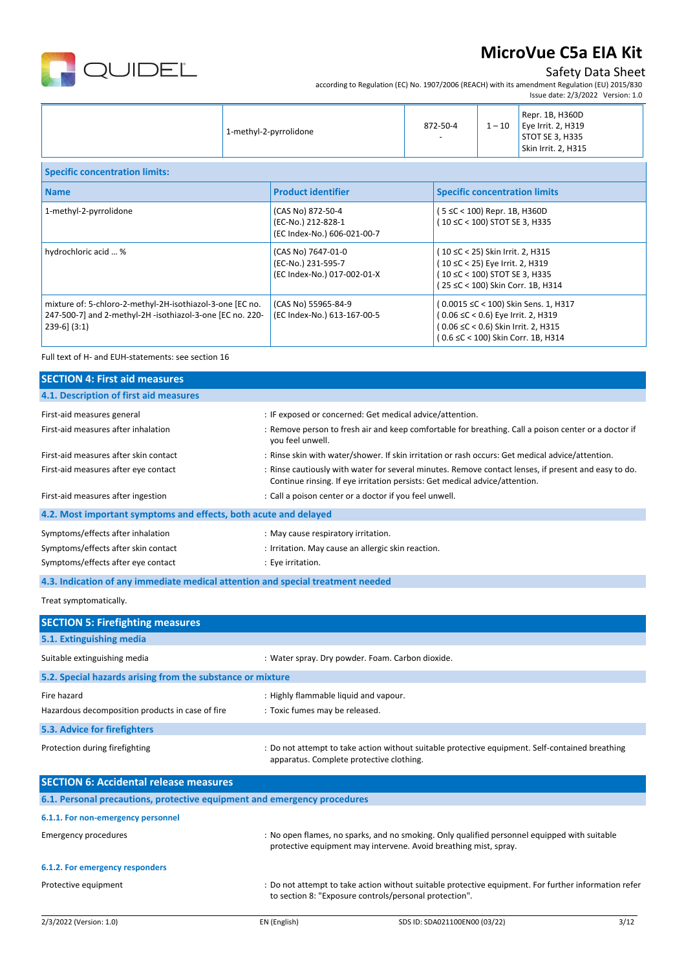

## Safety Data Sheet

according to Regulation (EC) No. 1907/2006 (REACH) with its amendment Regulation (EU) 2015/830

|                                                                                                                                             |                        |                                                                         |                                                                                                                                           |          | Issue date: 2/3/2022 Version: 1.0                                                                                                                       |
|---------------------------------------------------------------------------------------------------------------------------------------------|------------------------|-------------------------------------------------------------------------|-------------------------------------------------------------------------------------------------------------------------------------------|----------|---------------------------------------------------------------------------------------------------------------------------------------------------------|
|                                                                                                                                             | 1-methyl-2-pyrrolidone |                                                                         | 872-50-4                                                                                                                                  | $1 - 10$ | Repr. 1B, H360D<br>Eye Irrit. 2, H319<br>STOT SE 3, H335<br>Skin Irrit. 2, H315                                                                         |
| <b>Specific concentration limits:</b>                                                                                                       |                        |                                                                         |                                                                                                                                           |          |                                                                                                                                                         |
| <b>Name</b>                                                                                                                                 |                        | <b>Product identifier</b>                                               | <b>Specific concentration limits</b>                                                                                                      |          |                                                                                                                                                         |
| 1-methyl-2-pyrrolidone                                                                                                                      |                        | (CAS No) 872-50-4<br>(EC-No.) 212-828-1<br>(EC Index-No.) 606-021-00-7  | (5 ≤C < 100) Repr. 1B, H360D<br>(10 ≤C < 100) STOT SE 3, H335                                                                             |          |                                                                                                                                                         |
| hydrochloric acid  %                                                                                                                        |                        | (CAS No) 7647-01-0<br>(EC-No.) 231-595-7<br>(EC Index-No.) 017-002-01-X | (10 ≤C < 25) Skin Irrit. 2, H315<br>(10 ≤C < 25) Eye Irrit. 2, H319<br>(10 ≤C < 100) STOT SE 3, H335<br>(25 ≤C < 100) Skin Corr. 1B, H314 |          |                                                                                                                                                         |
| mixture of: 5-chloro-2-methyl-2H-isothiazol-3-one [EC no.<br>247-500-7] and 2-methyl-2H -isothiazol-3-one [EC no. 220-<br>$239-6$ ] $(3:1)$ |                        | (CAS No) 55965-84-9<br>(EC Index-No.) 613-167-00-5                      |                                                                                                                                           |          | (0.0015 ≤C < 100) Skin Sens. 1, H317<br>(0.06 ≤C < 0.6) Eye Irrit. 2, H319<br>(0.06 ≤C < 0.6) Skin Irrit. 2, H315<br>(0.6 ≤C < 100) Skin Corr. 1B, H314 |

Full text of H- and EUH-statements: see section 16

| <b>SECTION 4: First aid measures</b>                                            |                                                                                                                                                                                     |
|---------------------------------------------------------------------------------|-------------------------------------------------------------------------------------------------------------------------------------------------------------------------------------|
| 4.1. Description of first aid measures                                          |                                                                                                                                                                                     |
| First-aid measures general                                                      | : IF exposed or concerned: Get medical advice/attention.                                                                                                                            |
| First-aid measures after inhalation                                             | : Remove person to fresh air and keep comfortable for breathing. Call a poison center or a doctor if<br>you feel unwell.                                                            |
| First-aid measures after skin contact                                           | : Rinse skin with water/shower. If skin irritation or rash occurs: Get medical advice/attention.                                                                                    |
| First-aid measures after eye contact                                            | : Rinse cautiously with water for several minutes. Remove contact lenses, if present and easy to do.<br>Continue rinsing. If eye irritation persists: Get medical advice/attention. |
| First-aid measures after ingestion                                              | : Call a poison center or a doctor if you feel unwell.                                                                                                                              |
| 4.2. Most important symptoms and effects, both acute and delayed                |                                                                                                                                                                                     |
| Symptoms/effects after inhalation                                               | : May cause respiratory irritation.                                                                                                                                                 |
| Symptoms/effects after skin contact                                             | : Irritation. May cause an allergic skin reaction.                                                                                                                                  |
| Symptoms/effects after eye contact                                              | : Eye irritation.                                                                                                                                                                   |
| 4.3. Indication of any immediate medical attention and special treatment needed |                                                                                                                                                                                     |
| Treat symptomatically.                                                          |                                                                                                                                                                                     |
| <b>SECTION 5: Firefighting measures</b>                                         |                                                                                                                                                                                     |
| 5.1. Extinguishing media                                                        |                                                                                                                                                                                     |
| Suitable extinguishing media                                                    | : Water spray. Dry powder. Foam. Carbon dioxide.                                                                                                                                    |
| 5.2. Special hazards arising from the substance or mixture                      |                                                                                                                                                                                     |
| Fire hazard                                                                     | : Highly flammable liquid and vapour.                                                                                                                                               |
| Hazardous decomposition products in case of fire                                | : Toxic fumes may be released.                                                                                                                                                      |
| 5.3. Advice for firefighters                                                    |                                                                                                                                                                                     |
| Protection during firefighting                                                  | : Do not attempt to take action without suitable protective equipment. Self-contained breathing<br>apparatus. Complete protective clothing.                                         |
| <b>SECTION 6: Accidental release measures</b>                                   |                                                                                                                                                                                     |
| 6.1. Personal precautions, protective equipment and emergency procedures        |                                                                                                                                                                                     |
| 6.1.1. For non-emergency personnel                                              |                                                                                                                                                                                     |
| <b>Emergency procedures</b>                                                     | : No open flames, no sparks, and no smoking. Only qualified personnel equipped with suitable<br>protective equipment may intervene. Avoid breathing mist, spray.                    |
| 6.1.2. For emergency responders                                                 |                                                                                                                                                                                     |
| Protective equipment                                                            | : Do not attempt to take action without suitable protective equipment. For further information refer<br>to section 8: "Exposure controls/personal protection".                      |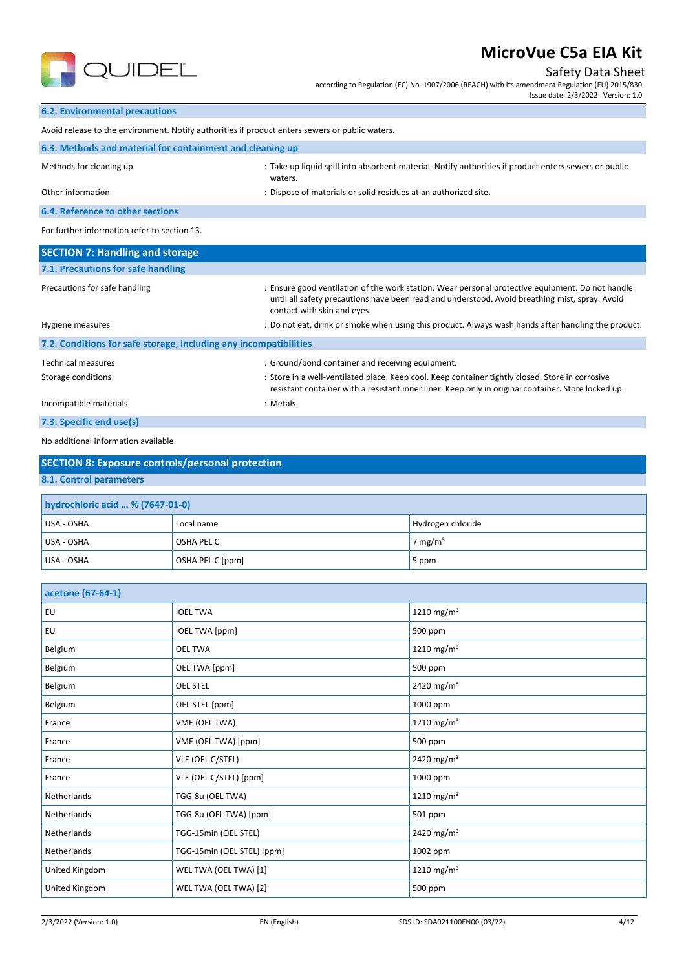

Safety Data Sheet according to Regulation (EC) No. 1907/2006 (REACH) with its amendment Regulation (EU) 2015/830 Issue date: 2/3/2022 Version: 1.0

### **6.2. Environmental precautions**

| Avoid release to the environment. Notify authorities if product enters sewers or public waters. |                                                                                                                  |  |  |  |  |
|-------------------------------------------------------------------------------------------------|------------------------------------------------------------------------------------------------------------------|--|--|--|--|
| 6.3. Methods and material for containment and cleaning up                                       |                                                                                                                  |  |  |  |  |
| Methods for cleaning up                                                                         | : Take up liquid spill into absorbent material. Notify authorities if product enters sewers or public<br>waters. |  |  |  |  |
| Other information                                                                               | : Dispose of materials or solid residues at an authorized site.                                                  |  |  |  |  |
| 6.4. Reference to other sections                                                                |                                                                                                                  |  |  |  |  |
| For further information refer to section 13.                                                    |                                                                                                                  |  |  |  |  |
| <b>SECTION 7: Handling and storage</b>                                                          |                                                                                                                  |  |  |  |  |
| 71 Drocautions for safe handling                                                                |                                                                                                                  |  |  |  |  |

| 7.1. FICLOULIONS TOT SOLE HONDING                                 |                                                                                                                                                                                                                                                                                                                                          |
|-------------------------------------------------------------------|------------------------------------------------------------------------------------------------------------------------------------------------------------------------------------------------------------------------------------------------------------------------------------------------------------------------------------------|
| Precautions for safe handling<br>Hygiene measures                 | : Ensure good ventilation of the work station. Wear personal protective equipment. Do not handle<br>until all safety precautions have been read and understood. Avoid breathing mist, spray. Avoid<br>contact with skin and eyes.<br>: Do not eat, drink or smoke when using this product. Always wash hands after handling the product. |
| 7.2. Conditions for safe storage, including any incompatibilities |                                                                                                                                                                                                                                                                                                                                          |
| <b>Technical measures</b><br>Storage conditions                   | : Ground/bond container and receiving equipment.<br>: Store in a well-ventilated place. Keep cool. Keep container tightly closed. Store in corrosive<br>resistant container with a resistant inner liner. Keep only in original container. Store locked up.                                                                              |
| Incompatible materials                                            | : Metals.                                                                                                                                                                                                                                                                                                                                |

## **7.3. Specific end use(s)**

### No additional information available

| <b>SECTION 8: Exposure controls/personal protection</b> |  |  |  |  |  |
|---------------------------------------------------------|--|--|--|--|--|
| 8.1. Control parameters                                 |  |  |  |  |  |
| hydrochloric acid  % (7647-01-0)                        |  |  |  |  |  |
| Hydrogen chloride<br>$IIBA$ - $OSHA$<br>Local name      |  |  |  |  |  |

| USA - OSHA | Local name        | Hydrogen chloride |
|------------|-------------------|-------------------|
| USA - OSHA | <b>OSHA PEL C</b> | 7 mg/m $3$        |
| USA - OSHA | OSHA PEL C [ppm]  | 5 ppm             |

| acetone (67-64-1) |                            |                        |
|-------------------|----------------------------|------------------------|
| EU                | <b>IOEL TWA</b>            | 1210 mg/m <sup>3</sup> |
| EU                | IOEL TWA [ppm]             | 500 ppm                |
| Belgium           | <b>OEL TWA</b>             | 1210 mg/m <sup>3</sup> |
| Belgium           | OEL TWA [ppm]              | 500 ppm                |
| Belgium           | <b>OEL STEL</b>            | 2420 mg/m <sup>3</sup> |
| Belgium           | OEL STEL [ppm]             | 1000 ppm               |
| France            | VME (OEL TWA)              | 1210 mg/m <sup>3</sup> |
| France            | VME (OEL TWA) [ppm]        | 500 ppm                |
| France            | VLE (OEL C/STEL)           | 2420 mg/m <sup>3</sup> |
| France            | VLE (OEL C/STEL) [ppm]     | 1000 ppm               |
| Netherlands       | TGG-8u (OEL TWA)           | 1210 mg/m <sup>3</sup> |
| Netherlands       | TGG-8u (OEL TWA) [ppm]     | 501 ppm                |
| Netherlands       | TGG-15min (OEL STEL)       | 2420 mg/m <sup>3</sup> |
| Netherlands       | TGG-15min (OEL STEL) [ppm] | 1002 ppm               |
| United Kingdom    | WEL TWA (OEL TWA) [1]      | 1210 mg/m <sup>3</sup> |
| United Kingdom    | WEL TWA (OEL TWA) [2]      | 500 ppm                |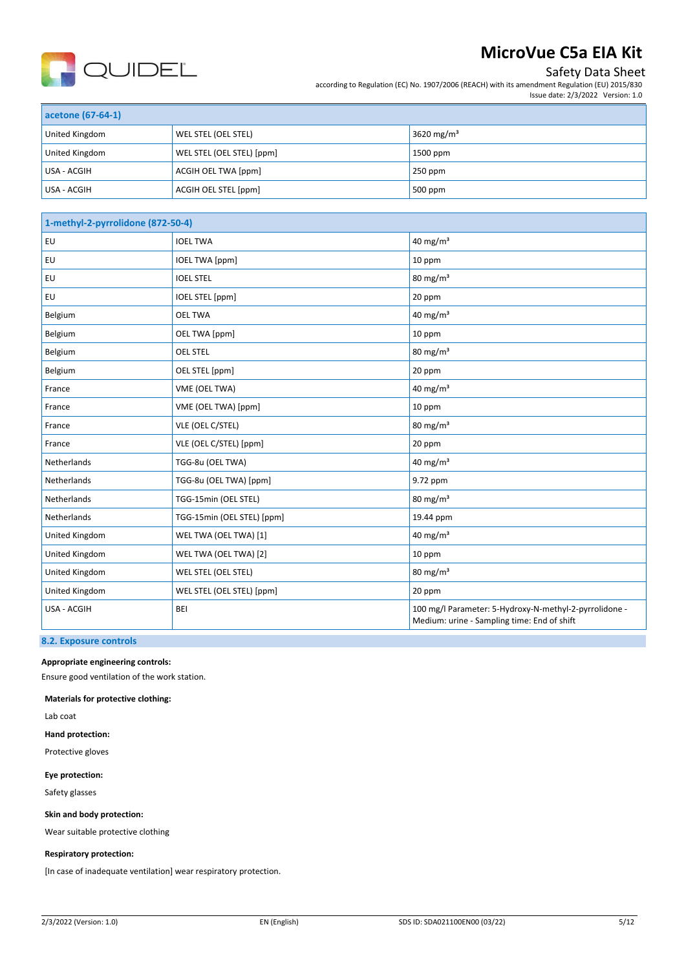

## Safety Data Sheet

according to Regulation (EC) No. 1907/2006 (REACH) with its amendment Regulation (EU) 2015/830 Issue date: 2/3/2022 Version: 1.0

| acetone (67-64-1) |                           |                        |  |
|-------------------|---------------------------|------------------------|--|
| United Kingdom    | WEL STEL (OEL STEL)       | 3620 mg/m <sup>3</sup> |  |
| United Kingdom    | WEL STEL (OEL STEL) [ppm] | 1500 ppm               |  |
| USA - ACGIH       | ACGIH OEL TWA [ppm]       | $250$ ppm              |  |
| USA - ACGIH       | ACGIH OEL STEL [ppm]      | 500 ppm                |  |

| 1-methyl-2-pyrrolidone (872-50-4) |                            |                                                                                                       |
|-----------------------------------|----------------------------|-------------------------------------------------------------------------------------------------------|
| EU                                | <b>IOEL TWA</b>            | 40 mg/m <sup>3</sup>                                                                                  |
| EU                                | <b>IOEL TWA [ppm]</b>      | 10 ppm                                                                                                |
| EU                                | <b>IOEL STEL</b>           | $80 \text{ mg/m}^3$                                                                                   |
| <b>EU</b>                         | <b>IOEL STEL [ppm]</b>     | 20 ppm                                                                                                |
| Belgium                           | <b>OEL TWA</b>             | 40 mg/m $3$                                                                                           |
| Belgium                           | OEL TWA [ppm]              | 10 ppm                                                                                                |
| Belgium                           | <b>OEL STEL</b>            | $80 \text{ mg/m}^3$                                                                                   |
| Belgium                           | OEL STEL [ppm]             | 20 ppm                                                                                                |
| France                            | VME (OEL TWA)              | 40 mg/m <sup>3</sup>                                                                                  |
| France                            | VME (OEL TWA) [ppm]        | 10 ppm                                                                                                |
| France                            | VLE (OEL C/STEL)           | 80 mg/m <sup>3</sup>                                                                                  |
| France                            | VLE (OEL C/STEL) [ppm]     | 20 ppm                                                                                                |
| Netherlands                       | TGG-8u (OEL TWA)           | 40 mg/m <sup>3</sup>                                                                                  |
| Netherlands                       | TGG-8u (OEL TWA) [ppm]     | 9.72 ppm                                                                                              |
| Netherlands                       | TGG-15min (OEL STEL)       | $80 \text{ mg/m}^3$                                                                                   |
| Netherlands                       | TGG-15min (OEL STEL) [ppm] | 19.44 ppm                                                                                             |
| United Kingdom                    | WEL TWA (OEL TWA) [1]      | 40 mg/m $3$                                                                                           |
| United Kingdom                    | WEL TWA (OEL TWA) [2]      | 10 ppm                                                                                                |
| United Kingdom                    | WEL STEL (OEL STEL)        | $80 \text{ mg/m}^3$                                                                                   |
| United Kingdom                    | WEL STEL (OEL STEL) [ppm]  | 20 ppm                                                                                                |
| USA - ACGIH                       | <b>BEI</b>                 | 100 mg/l Parameter: 5-Hydroxy-N-methyl-2-pyrrolidone -<br>Medium: urine - Sampling time: End of shift |

## **8.2. Exposure controls**

**Appropriate engineering controls:**

Ensure good ventilation of the work station.

**Materials for protective clothing:**

Lab coat

**Hand protection:**

Protective gloves

**Eye protection:**

Safety glasses

**Skin and body protection:**

Wear suitable protective clothing

### **Respiratory protection:**

[In case of inadequate ventilation] wear respiratory protection.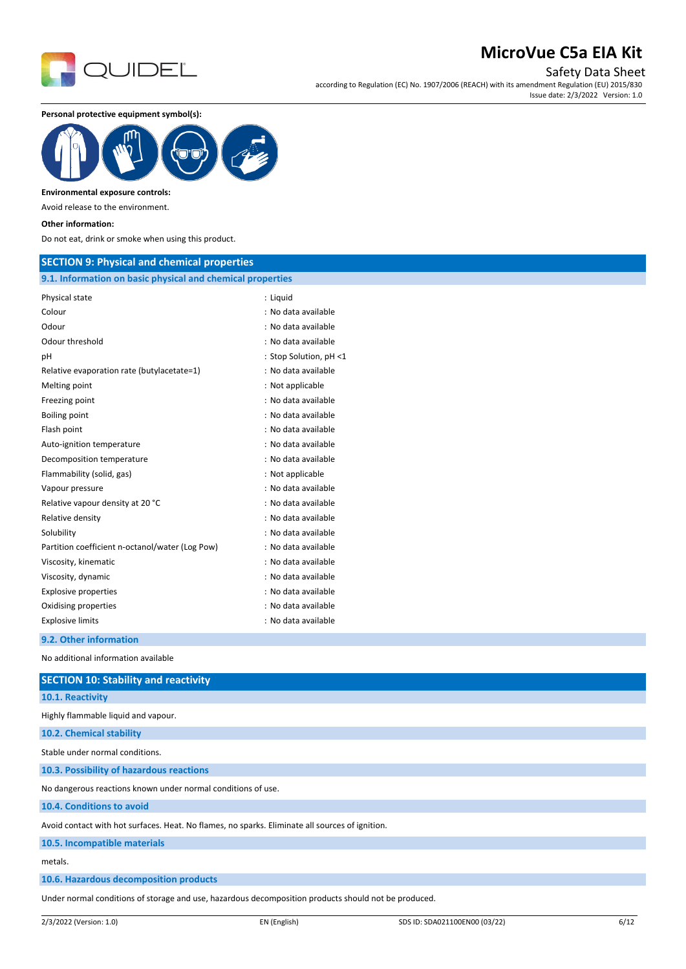

Safety Data Sheet

according to Regulation (EC) No. 1907/2006 (REACH) with its amendment Regulation (EU) 2015/830 Issue date: 2/3/2022 Version: 1.0

**Personal protective equipment symbol(s):**



#### **Environmental exposure controls:**

Avoid release to the environment.

#### **Other information:**

Do not eat, drink or smoke when using this product.

### **SECTION 9: Physical and chemical properties**

### **9.1. Information on basic physical and chemical properties**

| Physical state                                  | : Liguid               |
|-------------------------------------------------|------------------------|
| Colour                                          | : No data available    |
| Odour                                           | : No data available    |
| Odour threshold                                 | : No data available    |
| рH                                              | : Stop Solution, pH <1 |
| Relative evaporation rate (butylacetate=1)      | : No data available    |
| Melting point                                   | : Not applicable       |
| Freezing point                                  | : No data available    |
| Boiling point                                   | : No data available    |
| Flash point                                     | : No data available    |
| Auto-ignition temperature                       | : No data available    |
| Decomposition temperature                       | : No data available    |
| Flammability (solid, gas)                       | : Not applicable       |
| Vapour pressure                                 | : No data available    |
| Relative vapour density at 20 °C                | : No data available    |
| Relative density                                | : No data available    |
| Solubility                                      | : No data available    |
| Partition coefficient n-octanol/water (Log Pow) | : No data available    |
| Viscosity, kinematic                            | : No data available    |
| Viscosity, dynamic                              | : No data available    |
| <b>Explosive properties</b>                     | : No data available    |
| Oxidising properties                            | : No data available    |
| <b>Explosive limits</b>                         | : No data available    |
| 9.2. Other information                          |                        |

No additional information available

| <b>SECTION 10: Stability and reactivity</b>                                                     |
|-------------------------------------------------------------------------------------------------|
| 10.1. Reactivity                                                                                |
| Highly flammable liquid and vapour.                                                             |
| 10.2. Chemical stability                                                                        |
| Stable under normal conditions.                                                                 |
| 10.3. Possibility of hazardous reactions                                                        |
| No dangerous reactions known under normal conditions of use.                                    |
| 10.4. Conditions to avoid                                                                       |
| Avoid contact with hot surfaces. Heat. No flames, no sparks. Eliminate all sources of ignition. |
| 10.5. Incompatible materials                                                                    |
| metals.                                                                                         |
| 10.6. Hazardous decomposition products                                                          |
|                                                                                                 |

Under normal conditions of storage and use, hazardous decomposition products should not be produced.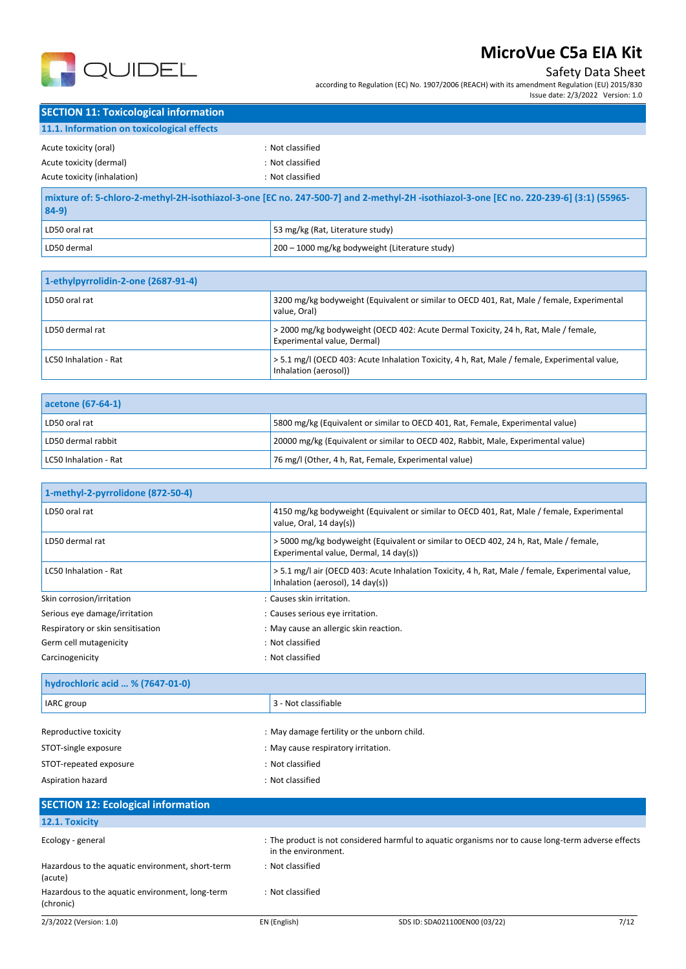

## Safety Data Sheet

according to Regulation (EC) No. 1907/2006 (REACH) with its amendment Regulation (EU) 2015/830

Issue date: 2/3/2022 Version: 1.0

| <b>SECTION 11: Toxicological information</b> |                  |
|----------------------------------------------|------------------|
| 11.1. Information on toxicological effects   |                  |
| Acute toxicity (oral)                        | : Not classified |
| Acute toxicity (dermal)                      | : Not classified |
| Acute toxicity (inhalation)                  | : Not classified |

| -55965) mixture of: 5-chloro-2-methyl-2H-isothiazol-3-one [EC no. 247-500-7] and 2-methyl-2H-isothiazol-3-one [EC no. 220-239-6] (3:1) (55965-<br>$84-9)$ |                                                        |
|-----------------------------------------------------------------------------------------------------------------------------------------------------------|--------------------------------------------------------|
| LD50 oral rat                                                                                                                                             | 53 mg/kg (Rat, Literature study)                       |
| LD50 dermal                                                                                                                                               | $\vert$ 200 – 1000 mg/kg bodyweight (Literature study) |

| 1-ethylpyrrolidin-2-one (2687-91-4) |                                                                                                                        |  |
|-------------------------------------|------------------------------------------------------------------------------------------------------------------------|--|
| LD50 oral rat                       | 3200 mg/kg bodyweight (Equivalent or similar to OECD 401, Rat, Male / female, Experimental<br>value. Oral)             |  |
| LD50 dermal rat                     | > 2000 mg/kg bodyweight (OECD 402: Acute Dermal Toxicity, 24 h, Rat, Male / female,<br>Experimental value, Dermal)     |  |
| LC50 Inhalation - Rat               | > 5.1 mg/l (OECD 403: Acute Inhalation Toxicity, 4 h, Rat, Male / female, Experimental value,<br>Inhalation (aerosol)) |  |

| acetone (67-64-1)     |                                                                                   |
|-----------------------|-----------------------------------------------------------------------------------|
| LD50 oral rat         | 5800 mg/kg (Equivalent or similar to OECD 401, Rat, Female, Experimental value)   |
| LD50 dermal rabbit    | 20000 mg/kg (Equivalent or similar to OECD 402, Rabbit, Male, Experimental value) |
| LC50 Inhalation - Rat | 76 mg/l (Other, 4 h, Rat, Female, Experimental value)                             |

| 1-methyl-2-pyrrolidone (872-50-4) |                                                                                                                                       |
|-----------------------------------|---------------------------------------------------------------------------------------------------------------------------------------|
| LD50 oral rat                     | 4150 mg/kg bodyweight (Equivalent or similar to OECD 401, Rat, Male / female, Experimental<br>value, Oral, 14 day(s))                 |
| LD50 dermal rat                   | > 5000 mg/kg bodyweight (Equivalent or similar to OECD 402, 24 h, Rat, Male / female,<br>Experimental value, Dermal, 14 day(s))       |
| LC50 Inhalation - Rat             | > 5.1 mg/l air (OECD 403: Acute Inhalation Toxicity, 4 h, Rat, Male / female, Experimental value,<br>Inhalation (aerosol), 14 day(s)) |
| Skin corrosion/irritation         | : Causes skin irritation.                                                                                                             |
| Serious eye damage/irritation     | : Causes serious eye irritation.                                                                                                      |
| Respiratory or skin sensitisation | : May cause an allergic skin reaction.                                                                                                |
| Germ cell mutagenicity            | : Not classified                                                                                                                      |
| Carcinogenicity                   | : Not classified                                                                                                                      |

| hydrochloric acid  % (7647-01-0) |                                             |  |
|----------------------------------|---------------------------------------------|--|
| IARC group                       | 3 - Not classifiable                        |  |
|                                  |                                             |  |
| Reproductive toxicity            | : May damage fertility or the unborn child. |  |
| STOT-single exposure             | : May cause respiratory irritation.         |  |
| STOT-repeated exposure           | : Not classified                            |  |
| Aspiration hazard                | : Not classified                            |  |

### 2/3/2022 (Version: 1.0) EN (English) SDS ID: SDA021100EN00 (03/22) 7/12 **SECTION 12: Ecological information 12.1. Toxicity** Ecology - general states of the product is not considered harmful to aquatic organisms nor to cause long-term adverse effects in the environment. Hazardous to the aquatic environment, short-term (acute) : Not classified Hazardous to the aquatic environment, long-term (chronic) : Not classified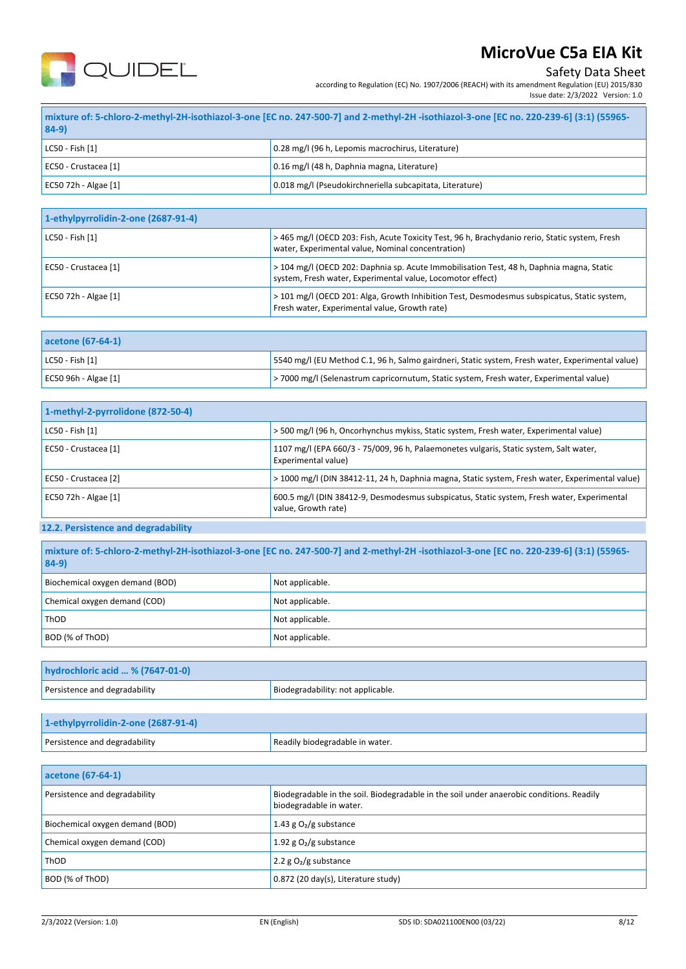

Safety Data Sheet

according to Regulation (EC) No. 1907/2006 (REACH) with its amendment Regulation (EU) 2015/830

| Issue date: 2/3/2022 Version: 1.0 |  |
|-----------------------------------|--|
|                                   |  |
|                                   |  |

| -55965) mixture of: 5-chloro-2-methyl-2H-isothiazol-3-one [EC no. 247-500-7] and 2-methyl-2H -isothiazol-3-one [EC no. 220-239-6] (3:1) (55965-<br>$84-9)$ |                                                          |  |
|------------------------------------------------------------------------------------------------------------------------------------------------------------|----------------------------------------------------------|--|
| LC50 - Fish [1]                                                                                                                                            | 0.28 mg/l (96 h, Lepomis macrochirus, Literature)        |  |
| EC50 - Crustacea [1]                                                                                                                                       | 0.16 mg/l (48 h, Daphnia magna, Literature)              |  |
| EC50 72h - Algae [1]                                                                                                                                       | 0.018 mg/l (Pseudokirchneriella subcapitata, Literature) |  |

| 1-ethylpyrrolidin-2-one (2687-91-4) |                                                                                                                                                        |  |
|-------------------------------------|--------------------------------------------------------------------------------------------------------------------------------------------------------|--|
| LC50 - Fish [1]                     | > 465 mg/l (OECD 203: Fish, Acute Toxicity Test, 96 h, Brachydanio rerio, Static system, Fresh<br>water, Experimental value, Nominal concentration)    |  |
| EC50 - Crustacea [1]                | > 104 mg/l (OECD 202: Daphnia sp. Acute Immobilisation Test, 48 h, Daphnia magna, Static<br>system, Fresh water, Experimental value, Locomotor effect) |  |
| EC50 72h - Algae [1]                | > 101 mg/l (OECD 201: Alga, Growth Inhibition Test, Desmodesmus subspicatus, Static system,<br>Fresh water, Experimental value, Growth rate)           |  |

| acetone (67-64-1)     |                                                                                                   |
|-----------------------|---------------------------------------------------------------------------------------------------|
| $ $ LC50 - Fish $[1]$ | [5540 mg/l (EU Method C.1, 96 h, Salmo gairdneri, Static system, Fresh water, Experimental value) |
| EC50 96h - Algae [1]  | >7000 mg/l (Selenastrum capricornutum, Static system, Fresh water, Experimental value)            |

| 1-methyl-2-pyrrolidone (872-50-4) |                                                                                                                   |
|-----------------------------------|-------------------------------------------------------------------------------------------------------------------|
| LC50 - Fish [1]                   | > 500 mg/l (96 h, Oncorhynchus mykiss, Static system, Fresh water, Experimental value)                            |
| EC50 - Crustacea [1]              | 1107 mg/l (EPA 660/3 - 75/009, 96 h, Palaemonetes vulgaris, Static system, Salt water,<br>Experimental value)     |
| EC50 - Crustacea [2]              | > 1000 mg/l (DIN 38412-11, 24 h, Daphnia magna, Static system, Fresh water, Experimental value)                   |
| EC50 72h - Algae [1]              | 600.5 mg/l (DIN 38412-9, Desmodesmus subspicatus, Static system, Fresh water, Experimental<br>value, Growth rate) |

## **12.2. Persistence and degradability**

| mixture of: 5-chloro-2-methyl-2H-isothiazol-3-one [EC no. 247-500-7] and 2-methyl-2H-isothiazol-3-one [EC no. 220-239-6] (3:1) (55965-<br>$84-9)$ |                   |
|---------------------------------------------------------------------------------------------------------------------------------------------------|-------------------|
| Biochemical oxygen demand (BOD)                                                                                                                   | Not applicable.   |
| Chemical oxygen demand (COD)                                                                                                                      | Not applicable.   |
| ThOD                                                                                                                                              | Not applicable.   |
| BOD (% of ThOD)                                                                                                                                   | I Not applicable. |

| hydrochloric acid  % (7647-01-0) |                                   |
|----------------------------------|-----------------------------------|
| Persistence and degradability    | Biodegradability: not applicable. |
|                                  |                                   |

| 1-ethylpyrrolidin-2-one (2687-91-4) |                                 |
|-------------------------------------|---------------------------------|
| Persistence and degradability       | Readily biodegradable in water. |

| acetone (67-64-1)               |                                                                                                                     |
|---------------------------------|---------------------------------------------------------------------------------------------------------------------|
| Persistence and degradability   | Biodegradable in the soil. Biodegradable in the soil under anaerobic conditions. Readily<br>biodegradable in water. |
| Biochemical oxygen demand (BOD) | 1.43 g $O2/g$ substance                                                                                             |
| Chemical oxygen demand (COD)    | 1.92 g $O_2/g$ substance                                                                                            |
| ThOD                            | 2.2 $g O2/g$ substance                                                                                              |
| BOD (% of ThOD)                 | 0.872 (20 day(s), Literature study)                                                                                 |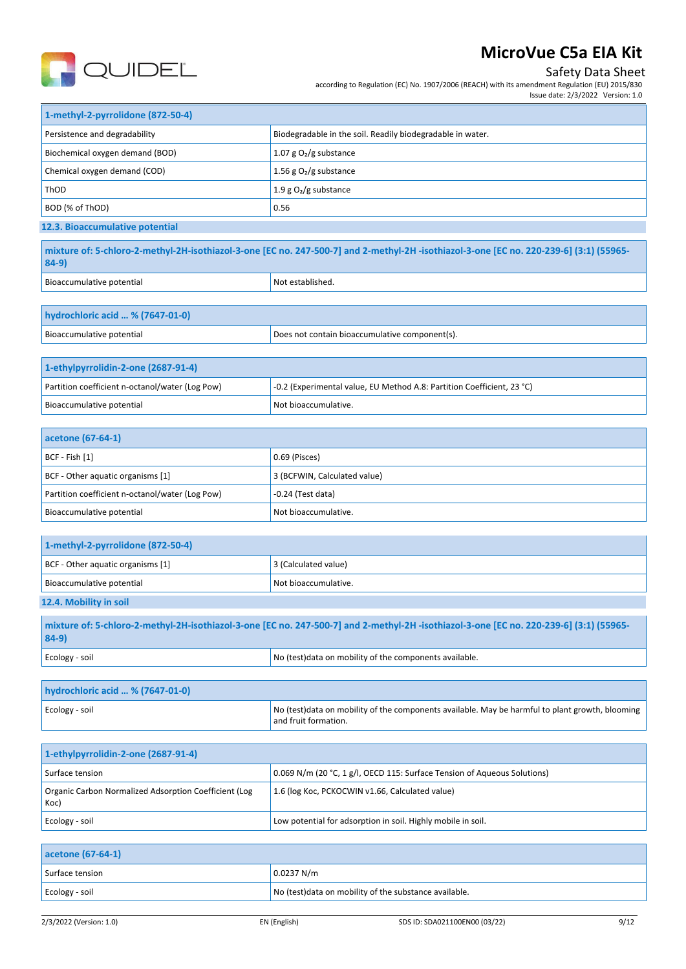

## Safety Data Sheet

according to Regulation (EC) No. 1907/2006 (REACH) with its amendment Regulation (EU) 2015/830 Issue date: 2/3/2022 Version: 1.0

| 1-methyl-2-pyrrolidone (872-50-4) |                                                            |
|-----------------------------------|------------------------------------------------------------|
| Persistence and degradability     | Biodegradable in the soil. Readily biodegradable in water. |
| Biochemical oxygen demand (BOD)   | 1.07 g $O_2$ /g substance                                  |
| Chemical oxygen demand (COD)      | 1.56 g $O_2$ /g substance                                  |
| ThOD                              | 1.9 g $O_2/g$ substance                                    |
| BOD (% of ThOD)                   | 0.56                                                       |
| 12.3. Bioaccumulative potential   |                                                            |

| mixture of: 5-chloro-2-methyl-2H-isothiazol-3-one [EC no. 247-500-7] and 2-methyl-2H-isothiazol-3-one [EC no. 220-239-6] (3:1) (55965-<br>$84-9$ |                  |
|--------------------------------------------------------------------------------------------------------------------------------------------------|------------------|
| Bioaccumulative potential                                                                                                                        | Not established. |

| hydrochloric acid  % (7647-01-0) |                                                |
|----------------------------------|------------------------------------------------|
| Bioaccumulative potential        | Does not contain bioaccumulative component(s). |

| 1-ethylpyrrolidin-2-one (2687-91-4)             |                                                                        |
|-------------------------------------------------|------------------------------------------------------------------------|
| Partition coefficient n-octanol/water (Log Pow) | -0.2 (Experimental value, EU Method A.8: Partition Coefficient, 23 °C) |
| Bioaccumulative potential                       | Not bioaccumulative.                                                   |

| acetone (67-64-1)                               |                              |
|-------------------------------------------------|------------------------------|
| $ BCF - Fish [1]$                               | 0.69 (Pisces)                |
| BCF - Other aquatic organisms [1]               | 3 (BCFWIN, Calculated value) |
| Partition coefficient n-octanol/water (Log Pow) | $-0.24$ (Test data)          |
| Bioaccumulative potential                       | Not bioaccumulative.         |

| 1-methyl-2-pyrrolidone (872-50-4)                                                                                                       |                      |
|-----------------------------------------------------------------------------------------------------------------------------------------|----------------------|
| BCF - Other aquatic organisms [1]                                                                                                       | 3 (Calculated value) |
| Bioaccumulative potential                                                                                                               | Not bioaccumulative. |
| 12.4. Mobility in soil                                                                                                                  |                      |
| mixture of: 5-chloro-2-methyl-2H-isothiazol-3-one [EC no. 247-500-7] and 2-methyl-2H -isothiazol-3-one [EC no. 220-239-6] (3:1) (55965- |                      |

| $84-9)$        |                                                         |  |  |
|----------------|---------------------------------------------------------|--|--|
| Ecology - soil | No (test) data on mobility of the components available. |  |  |

| hydrochloric acid  % (7647-01-0) |                                                                                                                          |
|----------------------------------|--------------------------------------------------------------------------------------------------------------------------|
| Ecology - soil                   | No (test) data on mobility of the components available. May be harmful to plant growth, blooming<br>and fruit formation. |

| 1-ethylpyrrolidin-2-one (2687-91-4)                           |                                                                          |
|---------------------------------------------------------------|--------------------------------------------------------------------------|
| Surface tension                                               | 0.069 N/m (20 °C, 1 g/l, OECD 115: Surface Tension of Aqueous Solutions) |
| Organic Carbon Normalized Adsorption Coefficient (Log<br>Koc) | 1.6 (log Koc, PCKOCWIN v1.66, Calculated value)                          |
| Ecology - soil                                                | Low potential for adsorption in soil. Highly mobile in soil.             |

| acetone (67-64-1) |                                                        |
|-------------------|--------------------------------------------------------|
| Surface tension   | 0.0237 N/m                                             |
| Ecology - soil    | No (test) data on mobility of the substance available. |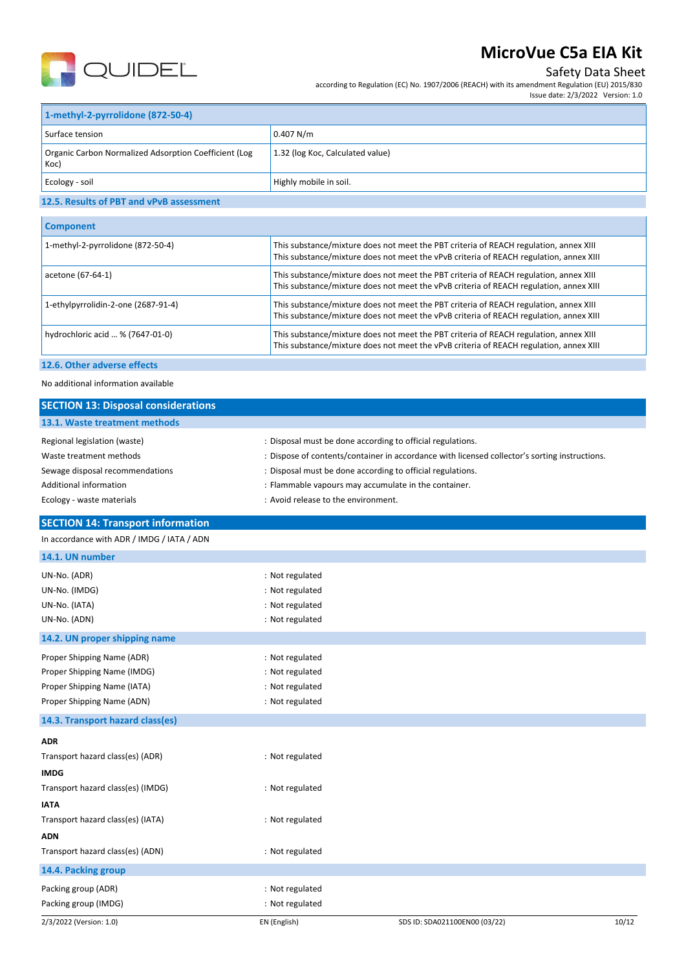

## Safety Data Sheet

according to Regulation (EC) No. 1907/2006 (REACH) with its amendment Regulation (EU) 2015/830 Issue date: 2/3/2022 Version: 1.0

| 1-methyl-2-pyrrolidone (872-50-4)                             |                                  |
|---------------------------------------------------------------|----------------------------------|
| Surface tension                                               | 0.407 N/m                        |
| Organic Carbon Normalized Adsorption Coefficient (Log<br>Koc) | 1.32 (log Koc, Calculated value) |
| Ecology - soil                                                | Highly mobile in soil.           |

### **12.5. Results of PBT and vPvB assessment**

| <b>Component</b>                    |                                                                                                                                                                                 |
|-------------------------------------|---------------------------------------------------------------------------------------------------------------------------------------------------------------------------------|
| 1-methyl-2-pyrrolidone (872-50-4)   | This substance/mixture does not meet the PBT criteria of REACH regulation, annex XIII<br>This substance/mixture does not meet the vPvB criteria of REACH regulation, annex XIII |
| acetone (67-64-1)                   | This substance/mixture does not meet the PBT criteria of REACH regulation, annex XIII<br>This substance/mixture does not meet the vPvB criteria of REACH regulation, annex XIII |
| 1-ethylpyrrolidin-2-one (2687-91-4) | This substance/mixture does not meet the PBT criteria of REACH regulation, annex XIII<br>This substance/mixture does not meet the vPvB criteria of REACH regulation, annex XIII |
| hydrochloric acid  % (7647-01-0)    | This substance/mixture does not meet the PBT criteria of REACH regulation, annex XIII<br>This substance/mixture does not meet the vPvB criteria of REACH regulation, annex XIII |
|                                     |                                                                                                                                                                                 |

### **12.6. Other adverse effects**

No additional information available

| <b>SECTION 13: Disposal considerations</b>                                                                                                        |                                                                                                                                                                                                                                                                                                                          |
|---------------------------------------------------------------------------------------------------------------------------------------------------|--------------------------------------------------------------------------------------------------------------------------------------------------------------------------------------------------------------------------------------------------------------------------------------------------------------------------|
| 13.1. Waste treatment methods                                                                                                                     |                                                                                                                                                                                                                                                                                                                          |
| Regional legislation (waste)<br>Waste treatment methods<br>Sewage disposal recommendations<br>Additional information<br>Ecology - waste materials | : Disposal must be done according to official regulations.<br>: Dispose of contents/container in accordance with licensed collector's sorting instructions.<br>: Disposal must be done according to official regulations.<br>: Flammable vapours may accumulate in the container.<br>: Avoid release to the environment. |
| <b>SECTION 14: Transport information</b>                                                                                                          |                                                                                                                                                                                                                                                                                                                          |
| In accordance with ADR / IMDG / IATA / ADN                                                                                                        |                                                                                                                                                                                                                                                                                                                          |
| 14.1. UN number                                                                                                                                   |                                                                                                                                                                                                                                                                                                                          |
| UN-No. (ADR)<br>UN-No. (IMDG)<br>UN-No. (IATA)<br>UN-No. (ADN)                                                                                    | : Not regulated<br>: Not regulated<br>: Not regulated<br>: Not regulated                                                                                                                                                                                                                                                 |
| 14.2. UN proper shipping name                                                                                                                     |                                                                                                                                                                                                                                                                                                                          |
| Proper Shipping Name (ADR)<br>Proper Shipping Name (IMDG)<br>Proper Shipping Name (IATA)<br>Proper Shipping Name (ADN)                            | : Not regulated<br>: Not regulated<br>: Not regulated<br>: Not regulated                                                                                                                                                                                                                                                 |
| 14.3. Transport hazard class(es)                                                                                                                  |                                                                                                                                                                                                                                                                                                                          |
| <b>ADR</b><br>Transport hazard class(es) (ADR)<br><b>IMDG</b>                                                                                     | : Not regulated                                                                                                                                                                                                                                                                                                          |
| Transport hazard class(es) (IMDG)                                                                                                                 | : Not regulated                                                                                                                                                                                                                                                                                                          |
| <b>IATA</b><br>Transport hazard class(es) (IATA)                                                                                                  | : Not regulated                                                                                                                                                                                                                                                                                                          |
| <b>ADN</b><br>Transport hazard class(es) (ADN)                                                                                                    | : Not regulated                                                                                                                                                                                                                                                                                                          |
| 14.4. Packing group                                                                                                                               |                                                                                                                                                                                                                                                                                                                          |
| Packing group (ADR)<br>Packing group (IMDG)                                                                                                       | : Not regulated<br>: Not regulated                                                                                                                                                                                                                                                                                       |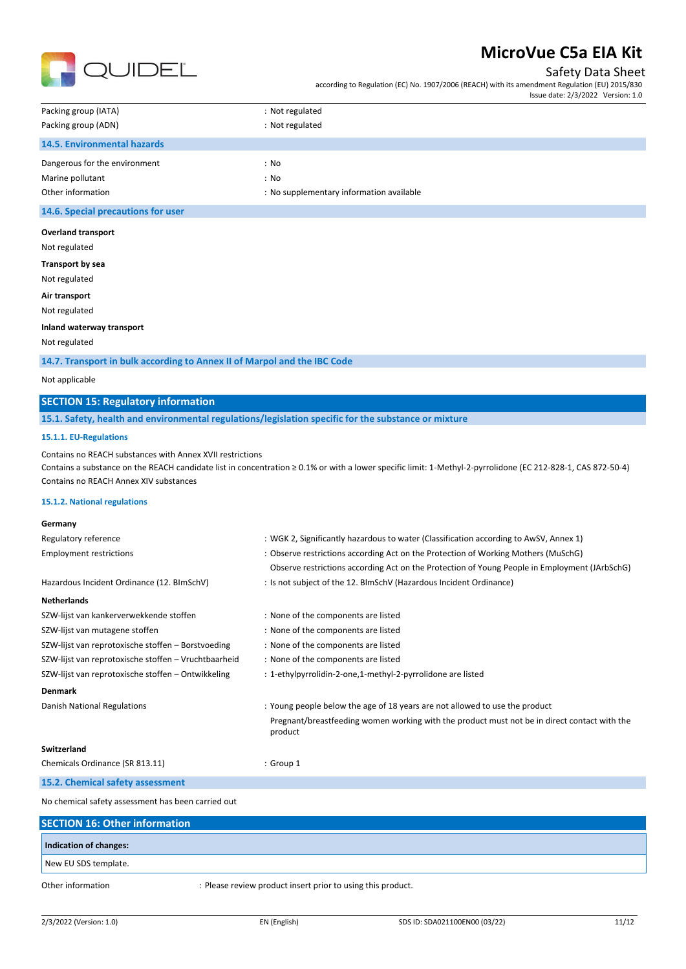

### Safety Data Sheet

according to Regulation (EC) No. 1907/2006 (REACH) with its amendment Regulation (EU) 2015/830 Issue date: 2/3/2022 Version: 1.0

| Packing group (IATA)               | : Not regulated                          |
|------------------------------------|------------------------------------------|
| Packing group (ADN)                | : Not regulated                          |
| 14.5. Environmental hazards        |                                          |
| Dangerous for the environment      | : No                                     |
| Marine pollutant                   | : No                                     |
| Other information                  | : No supplementary information available |
| 14.6. Special precautions for user |                                          |
|                                    |                                          |

#### **Overland transport**

Not regulated

**Transport by sea**

Not regulated

**Air transport** Not regulated

### **Inland waterway transport**

Not regulated

**14.7. Transport in bulk according to Annex II of Marpol and the IBC Code**

#### Not applicable

## **SECTION 15: Regulatory information**

**15.1. Safety, health and environmental regulations/legislation specific for the substance or mixture**

### **15.1.1. EU-Regulations**

Contains no REACH substances with Annex XVII restrictions

Contains a substance on the REACH candidate list in concentration ≥ 0.1% or with a lower specific limit: 1-Methyl-2-pyrrolidone (EC 212-828-1, CAS 872-50-4) Contains no REACH Annex XIV substances

#### **15.1.2. National regulations**

| Germany                                              |                                                                                                         |
|------------------------------------------------------|---------------------------------------------------------------------------------------------------------|
| Regulatory reference                                 | : WGK 2, Significantly hazardous to water (Classification according to AwSV, Annex 1)                   |
| <b>Employment restrictions</b>                       | : Observe restrictions according Act on the Protection of Working Mothers (MuSchG)                      |
|                                                      | Observe restrictions according Act on the Protection of Young People in Employment (JArbSchG)           |
| Hazardous Incident Ordinance (12. BImSchV)           | : Is not subject of the 12. BlmSchV (Hazardous Incident Ordinance)                                      |
| <b>Netherlands</b>                                   |                                                                                                         |
| SZW-lijst van kankerverwekkende stoffen              | : None of the components are listed                                                                     |
| SZW-lijst van mutagene stoffen                       | : None of the components are listed                                                                     |
| SZW-lijst van reprotoxische stoffen – Borstvoeding   | : None of the components are listed                                                                     |
| SZW-lijst van reprotoxische stoffen - Vruchtbaarheid | : None of the components are listed                                                                     |
| SZW-lijst van reprotoxische stoffen - Ontwikkeling   | : 1-ethylpyrrolidin-2-one,1-methyl-2-pyrrolidone are listed                                             |
| <b>Denmark</b>                                       |                                                                                                         |
| Danish National Regulations                          | : Young people below the age of 18 years are not allowed to use the product                             |
|                                                      | Pregnant/breastfeeding women working with the product must not be in direct contact with the<br>product |
| Switzerland                                          |                                                                                                         |
| Chemicals Ordinance (SR 813.11)                      | : Group 1                                                                                               |
| 15.2. Chemical safety assessment                     |                                                                                                         |
|                                                      |                                                                                                         |

No chemical safety assessment has been carried out

| <b>SECTION 16: Other information</b> |                                                             |  |
|--------------------------------------|-------------------------------------------------------------|--|
| Indication of changes:               |                                                             |  |
| New EU SDS template.                 |                                                             |  |
| Other information                    | : Please review product insert prior to using this product. |  |